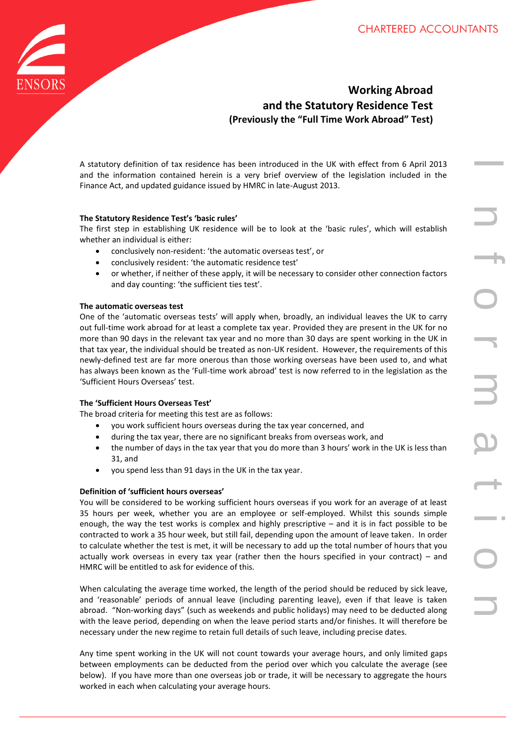

# **Working Abroad and the Statutory Residence Test (Previously the "Full Time Work Abroad" Test)**

A statutory definition of tax residence has been introduced in the UK with effect from 6 April 2013 and the information contained herein is a very brief overview of the legislation included in the Finance Act, and updated guidance issued by HMRC in late-August 2013.

#### **The Statutory Residence Test's 'basic rules'**

The first step in establishing UK residence will be to look at the 'basic rules', which will establish whether an individual is either:

- conclusively non-resident: 'the automatic overseas test', or
- conclusively resident: 'the automatic residence test'
- or whether, if neither of these apply, it will be necessary to consider other connection factors and day counting: 'the sufficient ties test'.

#### **The automatic overseas test**

One of the 'automatic overseas tests' will apply when, broadly, an individual leaves the UK to carry out full-time work abroad for at least a complete tax year. Provided they are present in the UK for no more than 90 days in the relevant tax year and no more than 30 days are spent working in the UK in that tax year, the individual should be treated as non-UK resident. However, the requirements of this newly-defined test are far more onerous than those working overseas have been used to, and what has always been known as the 'Full-time work abroad' test is now referred to in the legislation as the 'Sufficient Hours Overseas' test.

#### **The 'Sufficient Hours Overseas Test'**

The broad criteria for meeting this test are as follows:

- you work sufficient hours overseas during the tax year concerned, and
- during the tax year, there are no significant breaks from overseas work, and
- the number of days in the tax year that you do more than 3 hours' work in the UK is less than 31, and
- you spend less than 91 days in the UK in the tax year.

#### **Definition of 'sufficient hours overseas'**

You will be considered to be working sufficient hours overseas if you work for an average of at least 35 hours per week, whether you are an employee or self-employed. Whilst this sounds simple enough, the way the test works is complex and highly prescriptive – and it is in fact possible to be contracted to work a 35 hour week, but still fail, depending upon the amount of leave taken. In order to calculate whether the test is met, it will be necessary to add up the total number of hours that you actually work overseas in every tax year (rather then the hours specified in your contract) – and HMRC will be entitled to ask for evidence of this.

When calculating the average time worked, the length of the period should be reduced by sick leave, and 'reasonable' periods of annual leave (including parenting leave), even if that leave is taken abroad. "Non-working days" (such as weekends and public holidays) may need to be deducted along with the leave period, depending on when the leave period starts and/or finishes. It will therefore be necessary under the new regime to retain full details of such leave, including precise dates.

Any time spent working in the UK will not count towards your average hours, and only limited gaps between employments can be deducted from the period over which you calculate the average (see below). If you have more than one overseas job or trade, it will be necessary to aggregate the hours worked in each when calculating your average hours.